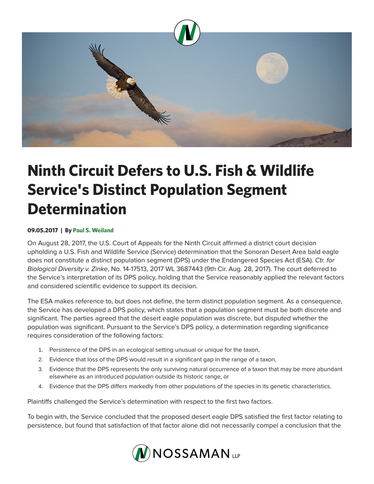

## **Ninth Circuit Defers to U.S. Fish & Wildlife Service's Distinct Population Segment Determination**

## **09.05.2017 | By Paul S. Weiland**

On August 28, 2017, the U.S. Court of Appeals for the Ninth Circuit affirmed a district court decision upholding a U.S. Fish and Wildlife Service (Service) determination that the Sonoran Desert Area bald eagle does not constitute a distinct population segment (DPS) under the Endangered Species Act (ESA). *Ctr. for Biological Diversity v. Zinke*, No. 14-17513, 2017 WL 3687443 (9th Cir. Aug. 28, 2017). The court deferred to the Service's interpretation of its DPS policy, holding that the Service reasonably applied the relevant factors and considered scientific evidence to support its decision.

The ESA makes reference to, but does not define, the term distinct population segment. As a consequence, the Service has developed a DPS policy, which states that a population segment must be both discrete and significant. The parties agreed that the desert eagle population was discrete, but disputed whether the population was significant. Pursuant to the Service's DPS policy, a determination regarding significance requires consideration of the following factors:

- 1. Persistence of the DPS in an ecological setting unusual or unique for the taxon,
- 2. Evidence that loss of the DPS would result in a significant gap in the range of a taxon,
- 3. Evidence that the DPS represents the only surviving natural occurrence of a taxon that may be more abundant elsewhere as an introduced population outside its historic range, or
- 4. Evidence that the DPS differs markedly from other populations of the species in its genetic characteristics.

Plaintiffs challenged the Service's determination with respect to the first two factors.

To begin with, the Service concluded that the proposed desert eagle DPS satisfied the first factor relating to persistence, but found that satisfaction of that factor alone did not necessarily compel a conclusion that the